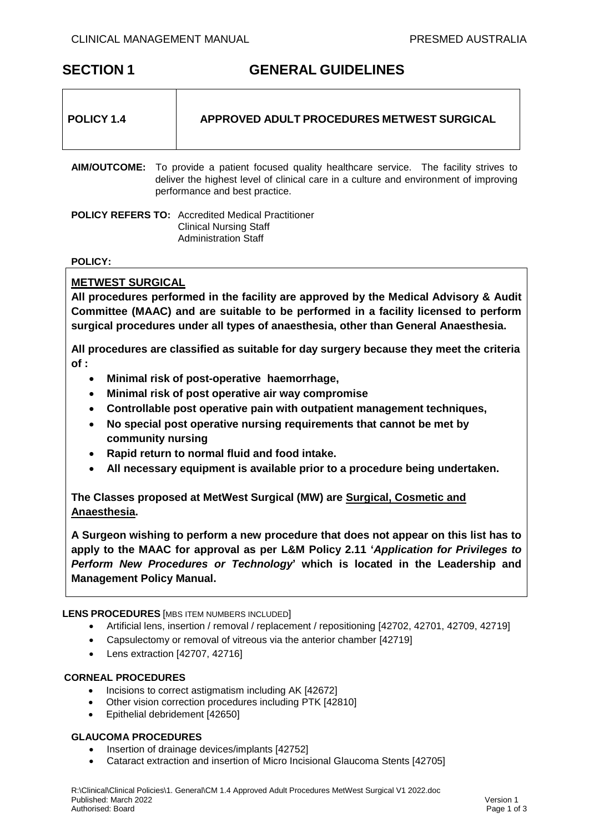# **SECTION 1 GENERAL GUIDELINES**

|--|

**AIM/OUTCOME:** To provide a patient focused quality healthcare service. The facility strives to deliver the highest level of clinical care in a culture and environment of improving performance and best practice.

**POLICY REFERS TO:** Accredited Medical Practitioner Clinical Nursing Staff Administration Staff

## **POLICY:**

## **METWEST SURGICAL**

**All procedures performed in the facility are approved by the Medical Advisory & Audit Committee (MAAC) and are suitable to be performed in a facility licensed to perform surgical procedures under all types of anaesthesia, other than General Anaesthesia.**

**All procedures are classified as suitable for day surgery because they meet the criteria of :**

- **Minimal risk of post-operative haemorrhage,**
- **Minimal risk of post operative air way compromise**
- **Controllable post operative pain with outpatient management techniques,**
- **No special post operative nursing requirements that cannot be met by community nursing**
- **Rapid return to normal fluid and food intake.**
- **All necessary equipment is available prior to a procedure being undertaken.**

**The Classes proposed at MetWest Surgical (MW) are Surgical, Cosmetic and Anaesthesia.** 

**A Surgeon wishing to perform a new procedure that does not appear on this list has to apply to the MAAC for approval as per L&M Policy 2.11 '***Application for Privileges to Perform New Procedures or Technology***' which is located in the Leadership and Management Policy Manual.**

## **LENS PROCEDURES** [MBS ITEM NUMBERS INCLUDED]

- Artificial lens, insertion / removal / replacement / repositioning [42702, 42701, 42709, 42719]
- Capsulectomy or removal of vitreous via the anterior chamber [42719]
- Lens extraction [42707, 42716]

#### **CORNEAL PROCEDURES**

- Incisions to correct astigmatism including AK [42672]
- Other vision correction procedures including PTK [42810]
- Epithelial debridement [42650]

## **GLAUCOMA PROCEDURES**

- Insertion of drainage devices/implants [42752]
- Cataract extraction and insertion of Micro Incisional Glaucoma Stents [42705]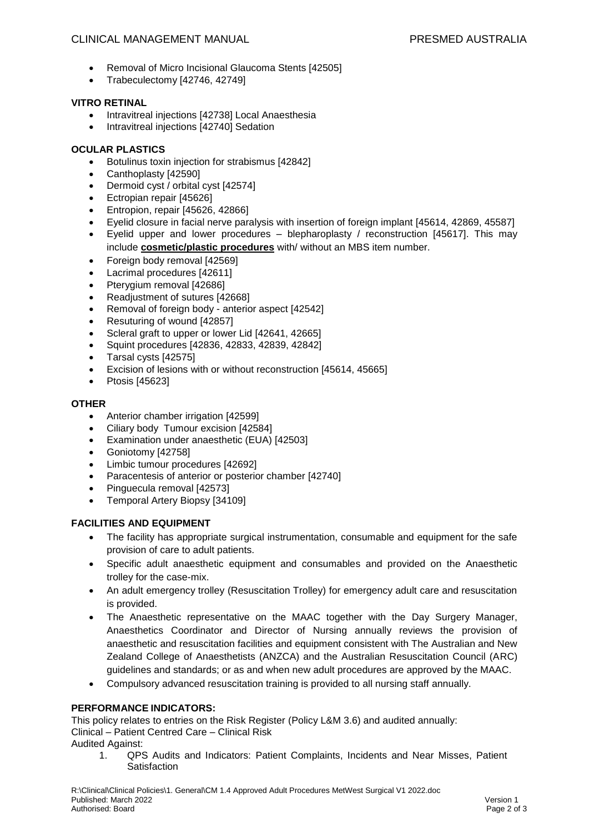## CLINICAL MANAGEMENT MANUAL PRESMED AUSTRALIA

- Removal of Micro Incisional Glaucoma Stents [42505]
- Trabeculectomy [42746, 42749]

## **VITRO RETINAL**

- Intravitreal injections [42738] Local Anaesthesia
- Intravitreal injections [42740] Sedation

## **OCULAR PLASTICS**

- Botulinus toxin injection for strabismus [42842]
- Canthoplasty [42590]
- Dermoid cyst / orbital cyst [42574]
- Ectropian repair [45626]
- Entropion, repair [45626, 42866]
- Eyelid closure in facial nerve paralysis with insertion of foreign implant [45614, 42869, 45587]
- Eyelid upper and lower procedures blepharoplasty / reconstruction [45617]. This may include **cosmetic/plastic procedures** with/ without an MBS item number.
- Foreign body removal [42569]
- Lacrimal procedures [42611]
- Pterygium removal [42686]
- Readjustment of sutures [42668]
- Removal of foreign body anterior aspect [42542]
- Resuturing of wound [42857]
- Scleral graft to upper or lower Lid [42641, 42665]
- Squint procedures [42836, 42833, 42839, 42842]
- Tarsal cysts [42575]
- Excision of lesions with or without reconstruction [45614, 45665]
- Ptosis [45623]

## **OTHER**

- Anterior chamber irrigation [42599]
- Ciliary body Tumour excision [42584]
- Examination under anaesthetic (EUA) [42503]
- Goniotomy [42758]
- Limbic tumour procedures [42692]
- Paracentesis of anterior or posterior chamber [42740]
- Pinguecula removal [42573]
- Temporal Artery Biopsy [34109]

## **FACILITIES AND EQUIPMENT**

- The facility has appropriate surgical instrumentation, consumable and equipment for the safe provision of care to adult patients.
- Specific adult anaesthetic equipment and consumables and provided on the Anaesthetic trolley for the case-mix.
- An adult emergency trolley (Resuscitation Trolley) for emergency adult care and resuscitation is provided.
- The Anaesthetic representative on the MAAC together with the Day Surgery Manager, Anaesthetics Coordinator and Director of Nursing annually reviews the provision of anaesthetic and resuscitation facilities and equipment consistent with The Australian and New Zealand College of Anaesthetists (ANZCA) and the Australian Resuscitation Council (ARC) guidelines and standards; or as and when new adult procedures are approved by the MAAC.
- Compulsory advanced resuscitation training is provided to all nursing staff annually.

## **PERFORMANCE INDICATORS:**

This policy relates to entries on the Risk Register (Policy L&M 3.6) and audited annually: Clinical – Patient Centred Care – Clinical Risk

Audited Against:

1. QPS Audits and Indicators: Patient Complaints, Incidents and Near Misses, Patient **Satisfaction**